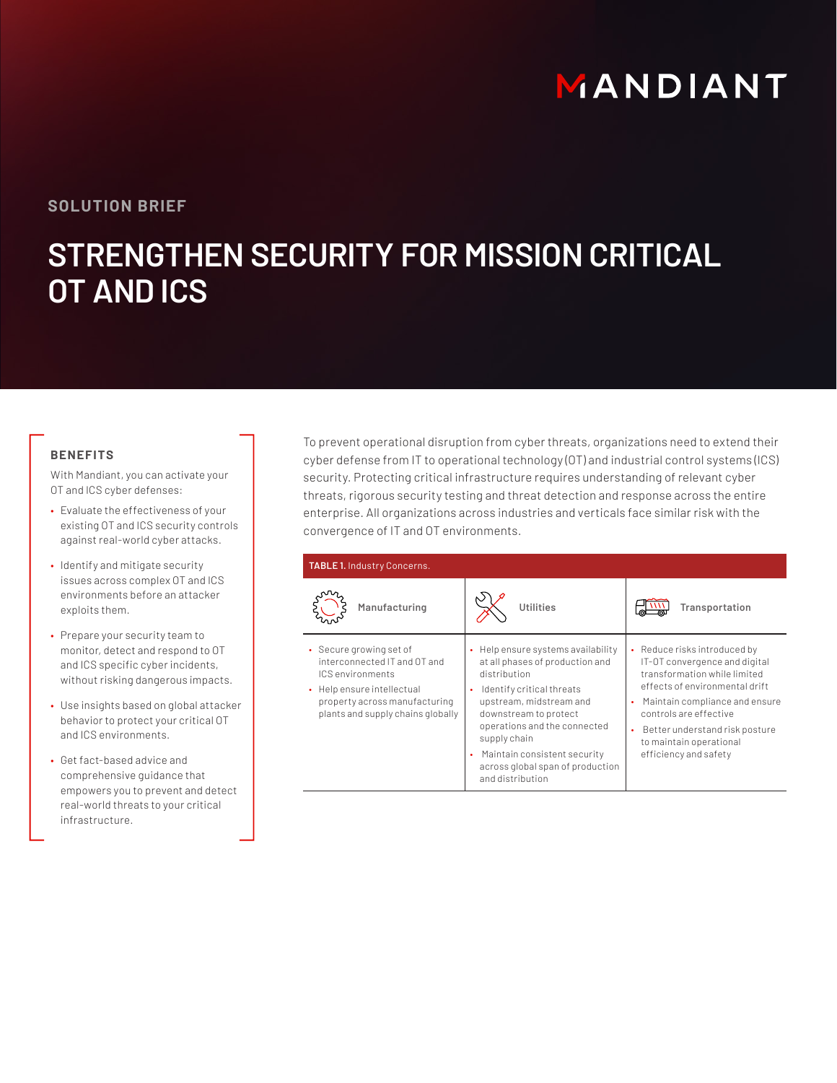# MANDIANT

# **SOLUTION BRIEF**

# **STRENGTHEN SECURITY FOR MISSION CRITICAL OT AND ICS**

### **BENEFITS**

With Mandiant, you can activate your OT and ICS cyber defenses:

- Evaluate the effectiveness of your existing OT and ICS security controls against real-world cyber attacks.
- Identify and mitigate security issues across complex OT and ICS environments before an attacker exploits them.
- Prepare your security team to monitor, detect and respond to OT and ICS specific cyber incidents, without risking dangerous impacts.
- Use insights based on global attacker behavior to protect your critical OT and ICS environments.
- Get fact-based advice and comprehensive guidance that empowers you to prevent and detect real-world threats to your critical infrastructure.

To prevent operational disruption from cyber threats, organizations need to extend their cyber defense from IT to operational technology (OT) and industrial control systems (ICS) security. Protecting critical infrastructure requires understanding of relevant cyber threats, rigorous security testing and threat detection and response across the entire enterprise. All organizations across industries and verticals face similar risk with the convergence of IT and OT environments.

| <b>TABLE 1. Industry Concerns.</b>                                                                                                                                              |                                                                                                                                                                                                                                                                                                                             |                                                                                                                                                                                                                                                                                                        |
|---------------------------------------------------------------------------------------------------------------------------------------------------------------------------------|-----------------------------------------------------------------------------------------------------------------------------------------------------------------------------------------------------------------------------------------------------------------------------------------------------------------------------|--------------------------------------------------------------------------------------------------------------------------------------------------------------------------------------------------------------------------------------------------------------------------------------------------------|
| Manufacturing                                                                                                                                                                   | Utilities                                                                                                                                                                                                                                                                                                                   | Transportation                                                                                                                                                                                                                                                                                         |
| • Secure growing set of<br>interconnected IT and OT and<br>ICS environments<br>• Help ensure intellectual<br>property across manufacturing<br>plants and supply chains globally | • Help ensure systems availability<br>at all phases of production and<br>distribution<br>Identify critical threats<br>upstream, midstream and<br>downstream to protect<br>operations and the connected<br>supply chain<br>Maintain consistent security<br>$\bullet$<br>across global span of production<br>and distribution | Reduce risks introduced by<br>٠<br>IT-OT convergence and digital<br>transformation while limited<br>effects of environmental drift<br>Maintain compliance and ensure<br>$\bullet$<br>controls are effective<br>Better understand risk posture<br>٠<br>to maintain operational<br>efficiency and safety |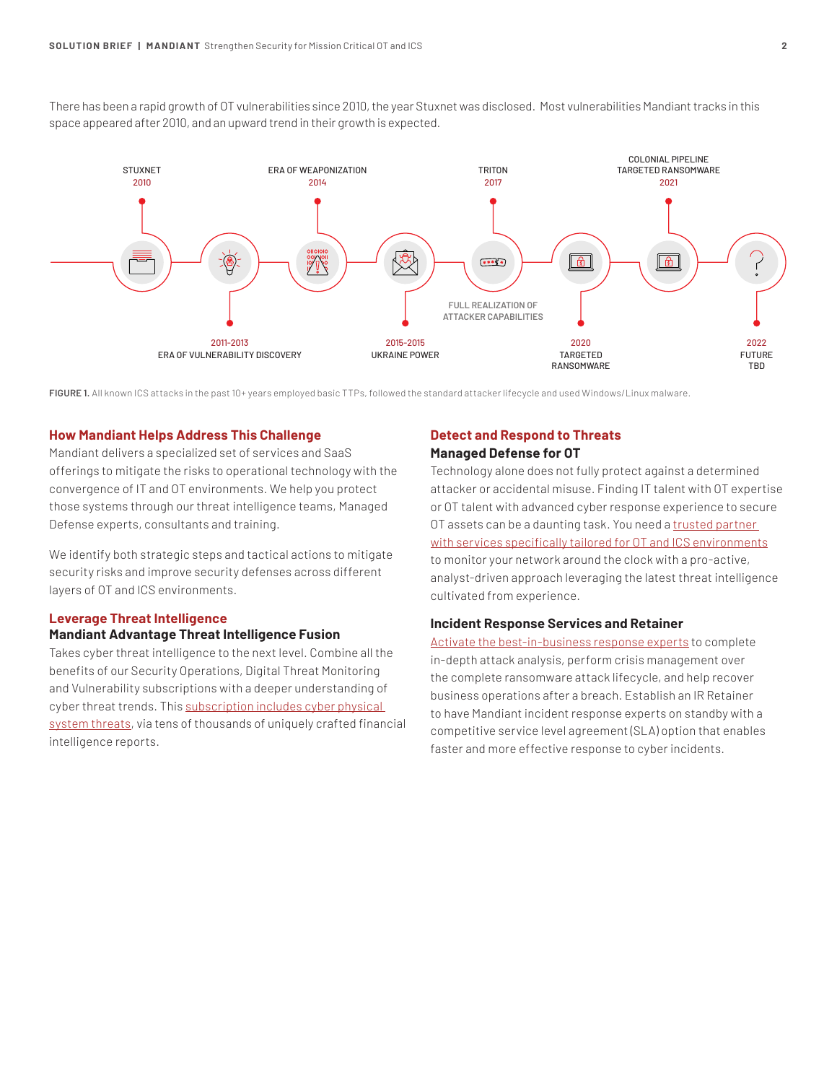There has been a rapid growth of OT vulnerabilities since 2010, the year Stuxnet was disclosed. Most vulnerabilities Mandiant tracks in this space appeared after 2010, and an upward trend in their growth is expected.



**FIGURE 1.** All known ICS attacks in the past 10+ years employed basic TTPs, followed the standard attacker lifecycle and used Windows/Linux malware.

#### **How Mandiant Helps Address This Challenge**

Mandiant delivers a specialized set of services and SaaS offerings to mitigate the risks to operational technology with the convergence of IT and OT environments. We help you protect those systems through our threat intelligence teams, Managed Defense experts, consultants and training.

We identify both strategic steps and tactical actions to mitigate security risks and improve security defenses across different layers of OT and ICS environments.

#### **Leverage Threat Intelligence**

#### **Mandiant Advantage Threat Intelligence Fusion**

Takes cyber threat intelligence to the next level. Combine all the benefits of our Security Operations, Digital Threat Monitoring and Vulnerability subscriptions with a deeper understanding of cyber threat trends. This [subscription includes cyber physical](https://www.mandiant.com/advantage/threat-intelligence/subscribe)  [system threats,](https://www.mandiant.com/advantage/threat-intelligence/subscribe) via tens of thousands of uniquely crafted financial intelligence reports.

#### **Detect and Respond to Threats Managed Defense for OT**

Technology alone does not fully protect against a determined attacker or accidental misuse. Finding IT talent with OT expertise or OT talent with advanced cyber response experience to secure OT assets can be a daunting task. You need a [trusted partner](https://mandiant.widen.net/s/rfl97tvgdk/managed-defense_ot_datasheet)  [with services specifically tailored for OT and ICS environments](https://mandiant.widen.net/s/rfl97tvgdk/managed-defense_ot_datasheet) to monitor your network around the clock with a pro-active, analyst-driven approach leveraging the latest threat intelligence cultivated from experience.

#### **Incident Response Services and Retainer**

[Activate the best-in-business response experts](https://www.mandiant.com/services/incident-response) to complete in-depth attack analysis, perform crisis management over the complete ransomware attack lifecycle, and help recover business operations after a breach. Establish an IR Retainer to have Mandiant incident response experts on standby with a competitive service level agreement (SLA) option that enables faster and more effective response to cyber incidents.